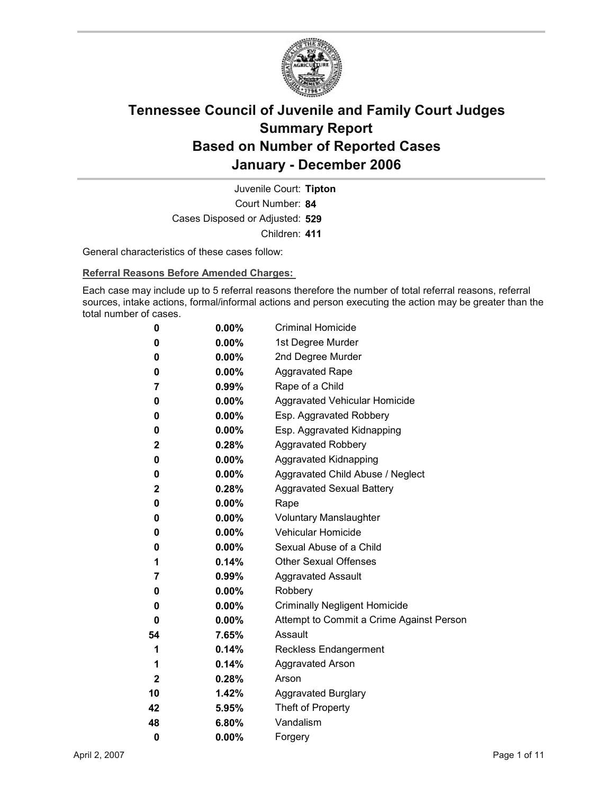

Court Number: **84** Juvenile Court: **Tipton** Cases Disposed or Adjusted: **529** Children: **411**

General characteristics of these cases follow:

**Referral Reasons Before Amended Charges:** 

Each case may include up to 5 referral reasons therefore the number of total referral reasons, referral sources, intake actions, formal/informal actions and person executing the action may be greater than the total number of cases.

| 0            | $0.00\%$ | <b>Criminal Homicide</b>                 |
|--------------|----------|------------------------------------------|
| 0            | $0.00\%$ | 1st Degree Murder                        |
| 0            | $0.00\%$ | 2nd Degree Murder                        |
| 0            | $0.00\%$ | <b>Aggravated Rape</b>                   |
| 7            | 0.99%    | Rape of a Child                          |
| 0            | $0.00\%$ | Aggravated Vehicular Homicide            |
| 0            | $0.00\%$ | Esp. Aggravated Robbery                  |
| 0            | $0.00\%$ | Esp. Aggravated Kidnapping               |
| $\mathbf{2}$ | 0.28%    | <b>Aggravated Robbery</b>                |
| 0            | $0.00\%$ | <b>Aggravated Kidnapping</b>             |
| 0            | $0.00\%$ | Aggravated Child Abuse / Neglect         |
| $\mathbf 2$  | $0.28\%$ | <b>Aggravated Sexual Battery</b>         |
| 0            | $0.00\%$ | Rape                                     |
| 0            | $0.00\%$ | <b>Voluntary Manslaughter</b>            |
| 0            | $0.00\%$ | <b>Vehicular Homicide</b>                |
| 0            | $0.00\%$ | Sexual Abuse of a Child                  |
| 1            | $0.14\%$ | <b>Other Sexual Offenses</b>             |
| 7            | $0.99\%$ | <b>Aggravated Assault</b>                |
| 0            | $0.00\%$ | Robbery                                  |
| 0            | $0.00\%$ | <b>Criminally Negligent Homicide</b>     |
| 0            | $0.00\%$ | Attempt to Commit a Crime Against Person |
| 54           | 7.65%    | Assault                                  |
| 1            | 0.14%    | <b>Reckless Endangerment</b>             |
| 1            | $0.14\%$ | <b>Aggravated Arson</b>                  |
| $\mathbf{2}$ | 0.28%    | Arson                                    |
| 10           | 1.42%    | <b>Aggravated Burglary</b>               |
| 42           | 5.95%    | Theft of Property                        |
| 48           | 6.80%    | Vandalism                                |
| 0            | 0.00%    | Forgery                                  |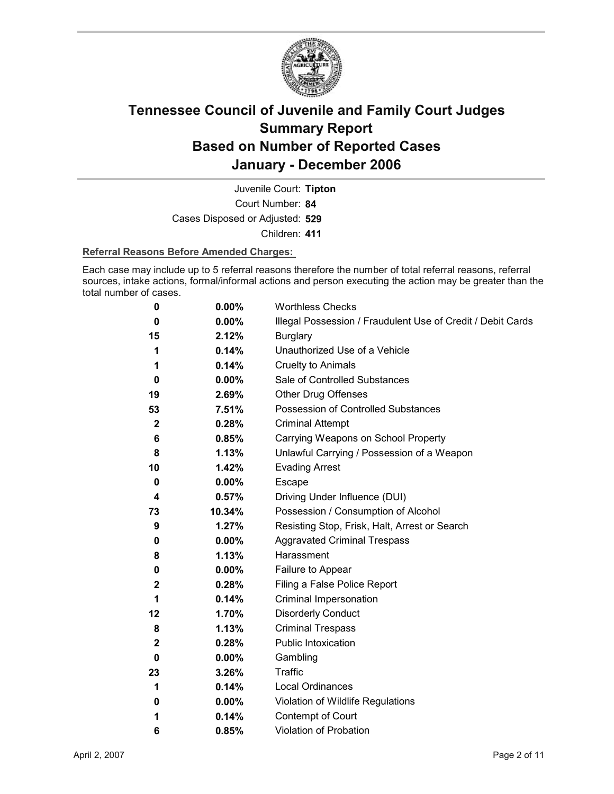

Court Number: **84** Juvenile Court: **Tipton** Cases Disposed or Adjusted: **529** Children: **411**

### **Referral Reasons Before Amended Charges:**

Each case may include up to 5 referral reasons therefore the number of total referral reasons, referral sources, intake actions, formal/informal actions and person executing the action may be greater than the total number of cases.

| 0           | 0.00%    | <b>Worthless Checks</b>                                     |
|-------------|----------|-------------------------------------------------------------|
| 0           | 0.00%    | Illegal Possession / Fraudulent Use of Credit / Debit Cards |
| 15          | 2.12%    | <b>Burglary</b>                                             |
| 1           | 0.14%    | Unauthorized Use of a Vehicle                               |
| 1           | 0.14%    | <b>Cruelty to Animals</b>                                   |
| 0           | $0.00\%$ | Sale of Controlled Substances                               |
| 19          | 2.69%    | <b>Other Drug Offenses</b>                                  |
| 53          | 7.51%    | <b>Possession of Controlled Substances</b>                  |
| $\mathbf 2$ | 0.28%    | <b>Criminal Attempt</b>                                     |
| 6           | 0.85%    | Carrying Weapons on School Property                         |
| 8           | 1.13%    | Unlawful Carrying / Possession of a Weapon                  |
| 10          | 1.42%    | <b>Evading Arrest</b>                                       |
| 0           | 0.00%    | Escape                                                      |
| 4           | 0.57%    | Driving Under Influence (DUI)                               |
| 73          | 10.34%   | Possession / Consumption of Alcohol                         |
| 9           | 1.27%    | Resisting Stop, Frisk, Halt, Arrest or Search               |
| 0           | $0.00\%$ | <b>Aggravated Criminal Trespass</b>                         |
| 8           | 1.13%    | Harassment                                                  |
| 0           | $0.00\%$ | Failure to Appear                                           |
| $\mathbf 2$ | 0.28%    | Filing a False Police Report                                |
| 1           | 0.14%    | Criminal Impersonation                                      |
| 12          | 1.70%    | <b>Disorderly Conduct</b>                                   |
| 8           | 1.13%    | <b>Criminal Trespass</b>                                    |
| 2           | 0.28%    | <b>Public Intoxication</b>                                  |
| 0           | $0.00\%$ | Gambling                                                    |
| 23          | 3.26%    | Traffic                                                     |
| 1           | 0.14%    | Local Ordinances                                            |
| 0           | $0.00\%$ | Violation of Wildlife Regulations                           |
| 1           | 0.14%    | Contempt of Court                                           |
| 6           | 0.85%    | <b>Violation of Probation</b>                               |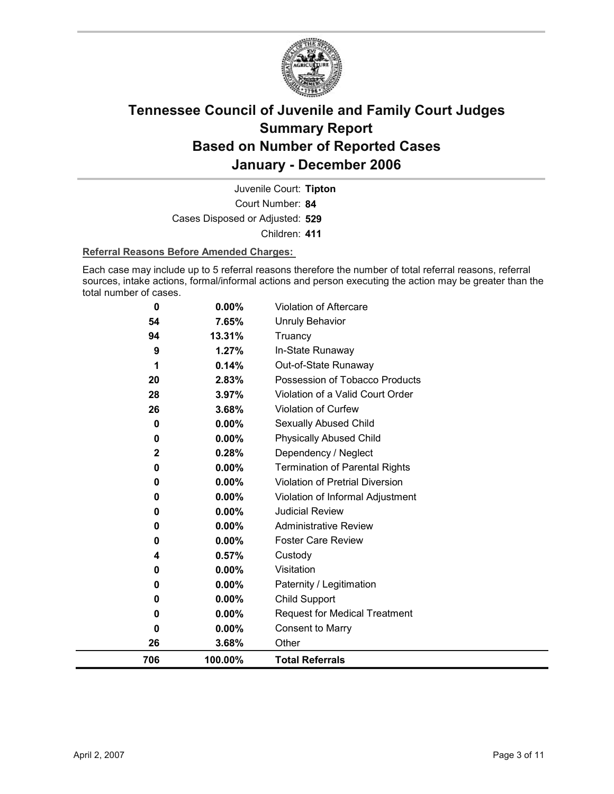

Court Number: **84** Juvenile Court: **Tipton** Cases Disposed or Adjusted: **529** Children: **411**

### **Referral Reasons Before Amended Charges:**

Each case may include up to 5 referral reasons therefore the number of total referral reasons, referral sources, intake actions, formal/informal actions and person executing the action may be greater than the total number of cases.

| 0   | 0.00%    | <b>Violation of Aftercare</b>          |
|-----|----------|----------------------------------------|
| 54  | 7.65%    | <b>Unruly Behavior</b>                 |
| 94  | 13.31%   | Truancy                                |
| 9   | 1.27%    | In-State Runaway                       |
| 1   | 0.14%    | Out-of-State Runaway                   |
| 20  | 2.83%    | Possession of Tobacco Products         |
| 28  | 3.97%    | Violation of a Valid Court Order       |
| 26  | 3.68%    | <b>Violation of Curfew</b>             |
| 0   | $0.00\%$ | Sexually Abused Child                  |
| 0   | 0.00%    | <b>Physically Abused Child</b>         |
| 2   | 0.28%    | Dependency / Neglect                   |
| 0   | 0.00%    | <b>Termination of Parental Rights</b>  |
| 0   | $0.00\%$ | <b>Violation of Pretrial Diversion</b> |
| 0   | $0.00\%$ | Violation of Informal Adjustment       |
| 0   | 0.00%    | <b>Judicial Review</b>                 |
| 0   | $0.00\%$ | <b>Administrative Review</b>           |
| 0   | $0.00\%$ | <b>Foster Care Review</b>              |
| 4   | 0.57%    | Custody                                |
| 0   | 0.00%    | Visitation                             |
| 0   | 0.00%    | Paternity / Legitimation               |
| 0   | $0.00\%$ | Child Support                          |
| 0   | $0.00\%$ | <b>Request for Medical Treatment</b>   |
| 0   | 0.00%    | <b>Consent to Marry</b>                |
| 26  | 3.68%    | Other                                  |
| 706 | 100.00%  | <b>Total Referrals</b>                 |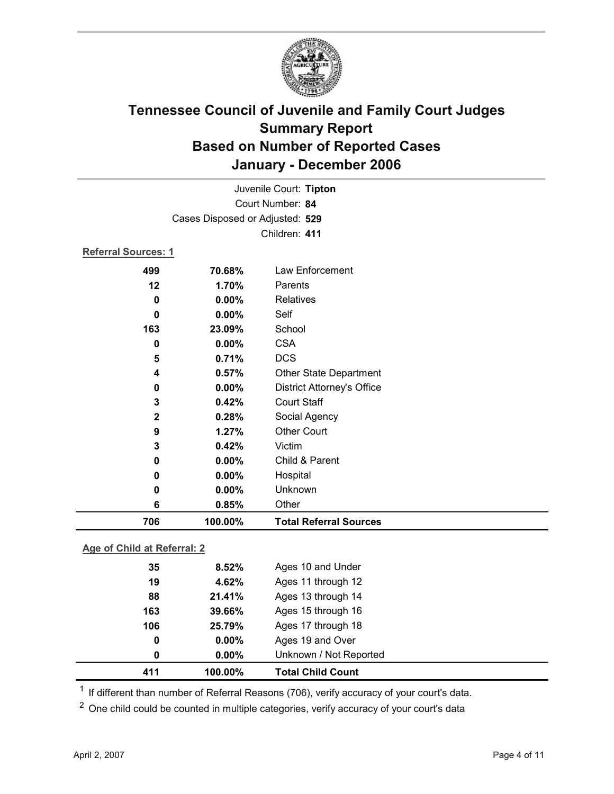

|                     |                                 | Juvenile Court: Tipton            |  |  |
|---------------------|---------------------------------|-----------------------------------|--|--|
| Court Number: 84    |                                 |                                   |  |  |
|                     | Cases Disposed or Adjusted: 529 |                                   |  |  |
|                     |                                 | Children: 411                     |  |  |
| Referral Sources: 1 |                                 |                                   |  |  |
| 499                 | 70.68%                          | Law Enforcement                   |  |  |
| 12                  | 1.70%                           | Parents                           |  |  |
| 0                   | 0.00%                           | <b>Relatives</b>                  |  |  |
| $\bf{0}$            | 0.00%                           | Self                              |  |  |
| 163                 | 23.09%                          | School                            |  |  |
| $\bf{0}$            | 0.00%                           | <b>CSA</b>                        |  |  |
| 5                   | 0.71%                           | <b>DCS</b>                        |  |  |
| 4                   | 0.57%                           | <b>Other State Department</b>     |  |  |
| 0                   | 0.00%                           | <b>District Attorney's Office</b> |  |  |
| 3                   | 0.42%                           | <b>Court Staff</b>                |  |  |
| $\mathbf 2$         | 0.28%                           | Social Agency                     |  |  |
| 9                   | 1.27%                           | <b>Other Court</b>                |  |  |
| 3                   | 0.42%                           | Victim                            |  |  |
| 0                   | $0.00\%$                        | Child & Parent                    |  |  |
| 0                   | 0.00%                           | Hospital                          |  |  |
| 0                   | 0.00%                           | Unknown                           |  |  |
| 6                   | 0.85%                           | Other                             |  |  |
| 706                 | 100.00%                         | <b>Total Referral Sources</b>     |  |  |
|                     |                                 |                                   |  |  |

### **Age of Child at Referral: 2**

| 411 | 100.00%       | <b>Total Child Count</b> |
|-----|---------------|--------------------------|
|     | $0.00\%$<br>0 | Unknown / Not Reported   |
|     | $0.00\%$<br>0 | Ages 19 and Over         |
| 106 | 25.79%        | Ages 17 through 18       |
| 163 | 39.66%        | Ages 15 through 16       |
|     | 88<br>21.41%  | Ages 13 through 14       |
|     | 19<br>4.62%   | Ages 11 through 12       |
|     | 8.52%<br>35   | Ages 10 and Under        |
|     |               |                          |

<sup>1</sup> If different than number of Referral Reasons (706), verify accuracy of your court's data.

<sup>2</sup> One child could be counted in multiple categories, verify accuracy of your court's data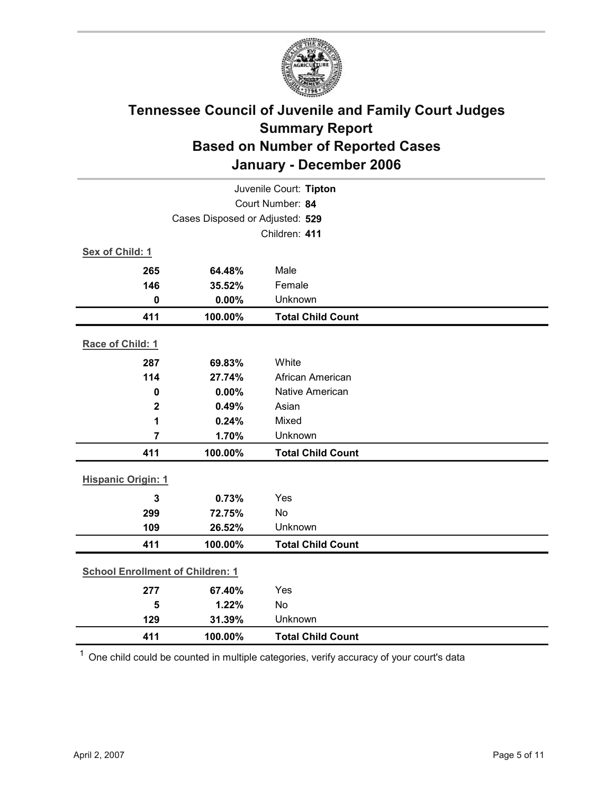

| Juvenile Court: Tipton                  |                                 |                          |  |  |  |
|-----------------------------------------|---------------------------------|--------------------------|--|--|--|
| Court Number: 84                        |                                 |                          |  |  |  |
|                                         | Cases Disposed or Adjusted: 529 |                          |  |  |  |
|                                         |                                 | Children: 411            |  |  |  |
| Sex of Child: 1                         |                                 |                          |  |  |  |
| 265                                     | 64.48%                          | Male                     |  |  |  |
| 146                                     | 35.52%                          | Female                   |  |  |  |
| $\mathbf 0$                             | 0.00%                           | Unknown                  |  |  |  |
| 411                                     | 100.00%                         | <b>Total Child Count</b> |  |  |  |
| Race of Child: 1                        |                                 |                          |  |  |  |
| 287                                     | 69.83%                          | White                    |  |  |  |
| 114                                     | 27.74%                          | African American         |  |  |  |
| $\mathbf 0$                             | 0.00%                           | <b>Native American</b>   |  |  |  |
| $\mathbf 2$                             | 0.49%                           | Asian                    |  |  |  |
| 1                                       | 0.24%                           | Mixed                    |  |  |  |
| $\overline{7}$                          | 1.70%                           | Unknown                  |  |  |  |
| 411                                     | 100.00%                         | <b>Total Child Count</b> |  |  |  |
| <b>Hispanic Origin: 1</b>               |                                 |                          |  |  |  |
| $\mathbf{3}$                            | 0.73%                           | Yes                      |  |  |  |
| 299                                     | 72.75%                          | <b>No</b>                |  |  |  |
| 109                                     | 26.52%                          | Unknown                  |  |  |  |
| 411                                     | 100.00%                         | <b>Total Child Count</b> |  |  |  |
| <b>School Enrollment of Children: 1</b> |                                 |                          |  |  |  |
| 277                                     | 67.40%                          | Yes                      |  |  |  |
| 5                                       | 1.22%                           | <b>No</b>                |  |  |  |
| 129                                     | 31.39%                          | Unknown                  |  |  |  |
| 411                                     | 100.00%                         | <b>Total Child Count</b> |  |  |  |

 $1$  One child could be counted in multiple categories, verify accuracy of your court's data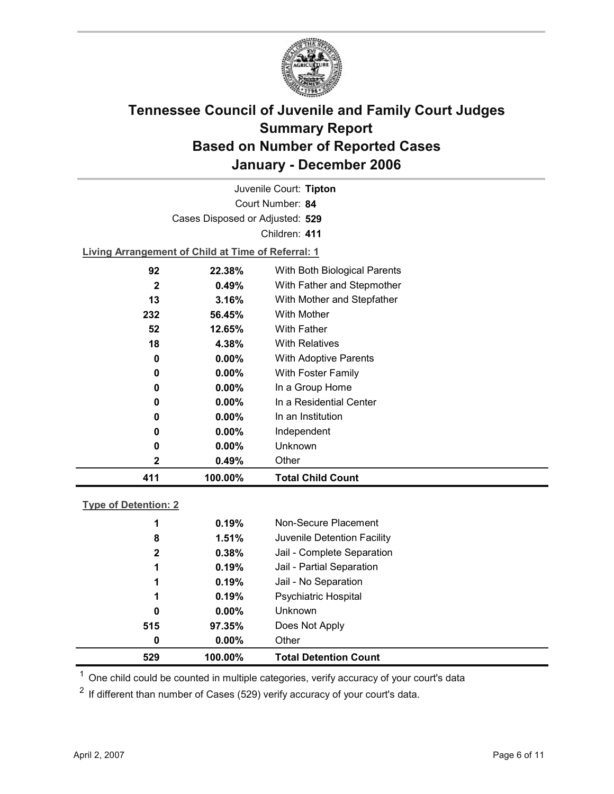

| Juvenile Court: Tipton          |                                                    |                              |  |  |  |  |  |
|---------------------------------|----------------------------------------------------|------------------------------|--|--|--|--|--|
| Court Number: 84                |                                                    |                              |  |  |  |  |  |
| Cases Disposed or Adjusted: 529 |                                                    |                              |  |  |  |  |  |
|                                 |                                                    | Children: 411                |  |  |  |  |  |
|                                 | Living Arrangement of Child at Time of Referral: 1 |                              |  |  |  |  |  |
| 92                              | 22.38%                                             | With Both Biological Parents |  |  |  |  |  |
| 2                               | $0.49\%$                                           | With Father and Stepmother   |  |  |  |  |  |
| 13                              | 3.16%                                              | With Mother and Stepfather   |  |  |  |  |  |
| 232                             | 56.45%                                             | <b>With Mother</b>           |  |  |  |  |  |
| 52                              | 12.65%                                             | <b>With Father</b>           |  |  |  |  |  |
| 18                              | 4.38%                                              | <b>With Relatives</b>        |  |  |  |  |  |
| 0                               | $0.00\%$                                           | <b>With Adoptive Parents</b> |  |  |  |  |  |
| 0                               | $0.00\%$                                           | <b>With Foster Family</b>    |  |  |  |  |  |
|                                 |                                                    |                              |  |  |  |  |  |

| 411         | 100.00%  | <b>Total Child Count</b> |
|-------------|----------|--------------------------|
| $\mathbf 2$ | 0.49%    | Other                    |
| 0           | $0.00\%$ | Unknown                  |
| 0           | $0.00\%$ | Independent              |
| 0           | $0.00\%$ | In an Institution        |
| 0           | $0.00\%$ | In a Residential Center  |
| 0           | $0.00\%$ | In a Group Home          |

### **Type of Detention: 2**

| 529          | 100.00%  | <b>Total Detention Count</b> |
|--------------|----------|------------------------------|
| 0            | $0.00\%$ | Other                        |
| 515          | 97.35%   | Does Not Apply               |
| 0            | $0.00\%$ | <b>Unknown</b>               |
| 1            | 0.19%    | <b>Psychiatric Hospital</b>  |
| 1            | 0.19%    | Jail - No Separation         |
| 1            | 0.19%    | Jail - Partial Separation    |
| $\mathbf{2}$ | 0.38%    | Jail - Complete Separation   |
| 8            | 1.51%    | Juvenile Detention Facility  |
| 1            | 0.19%    | Non-Secure Placement         |
|              |          |                              |

 $<sup>1</sup>$  One child could be counted in multiple categories, verify accuracy of your court's data</sup>

 $2$  If different than number of Cases (529) verify accuracy of your court's data.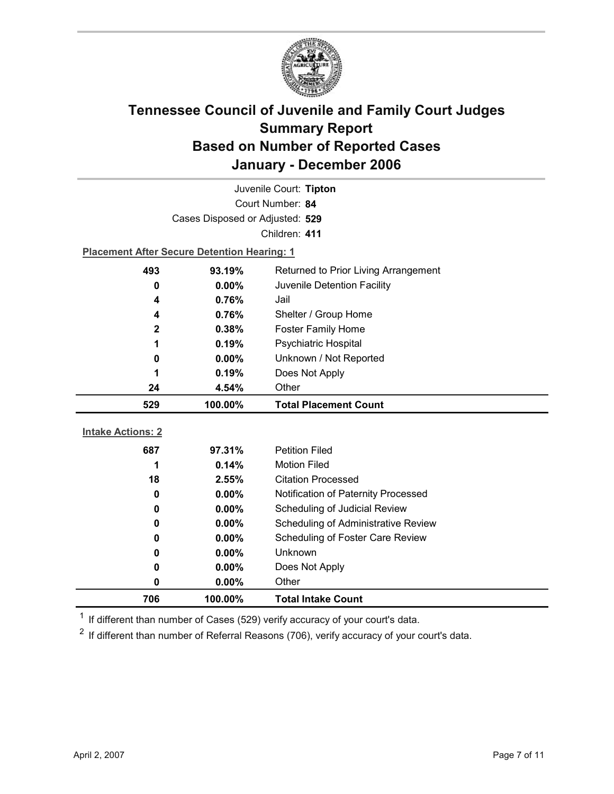

| Juvenile Court: Tipton                         |                                                    |                                     |  |  |  |
|------------------------------------------------|----------------------------------------------------|-------------------------------------|--|--|--|
| Court Number: 84                               |                                                    |                                     |  |  |  |
|                                                | Cases Disposed or Adjusted: 529                    |                                     |  |  |  |
|                                                |                                                    | Children: 411                       |  |  |  |
|                                                | <b>Placement After Secure Detention Hearing: 1</b> |                                     |  |  |  |
| 493                                            | 93.19%<br>Returned to Prior Living Arrangement     |                                     |  |  |  |
| 0                                              | $0.00\%$<br>Juvenile Detention Facility            |                                     |  |  |  |
| 4                                              | 0.76%                                              | Jail                                |  |  |  |
| 4                                              | 0.76%                                              | Shelter / Group Home                |  |  |  |
| $\mathbf{2}$                                   | 0.38%                                              | <b>Foster Family Home</b>           |  |  |  |
| 1                                              | 0.19%                                              | Psychiatric Hospital                |  |  |  |
| 0                                              | $0.00\%$                                           | Unknown / Not Reported              |  |  |  |
| Does Not Apply<br>0.19%<br>1                   |                                                    |                                     |  |  |  |
| 24                                             | Other<br>4.54%                                     |                                     |  |  |  |
| 529<br>100.00%<br><b>Total Placement Count</b> |                                                    |                                     |  |  |  |
|                                                |                                                    |                                     |  |  |  |
|                                                |                                                    |                                     |  |  |  |
| <b>Intake Actions: 2</b>                       |                                                    |                                     |  |  |  |
| 687                                            | 97.31%                                             | <b>Petition Filed</b>               |  |  |  |
| 1                                              | 0.14%                                              | <b>Motion Filed</b>                 |  |  |  |
| 18                                             | 2.55%                                              | <b>Citation Processed</b>           |  |  |  |
| 0                                              | 0.00%                                              | Notification of Paternity Processed |  |  |  |
| 0                                              | 0.00%                                              | Scheduling of Judicial Review       |  |  |  |
| 0                                              | 0.00%                                              | Scheduling of Administrative Review |  |  |  |
| 0                                              | 0.00%                                              | Scheduling of Foster Care Review    |  |  |  |
| 0                                              | 0.00%                                              | Unknown                             |  |  |  |
| 0                                              | 0.00%                                              | Does Not Apply                      |  |  |  |
| 0<br>706                                       | 0.00%<br>100.00%                                   | Other<br><b>Total Intake Count</b>  |  |  |  |

 $1$  If different than number of Cases (529) verify accuracy of your court's data.

 $2$  If different than number of Referral Reasons (706), verify accuracy of your court's data.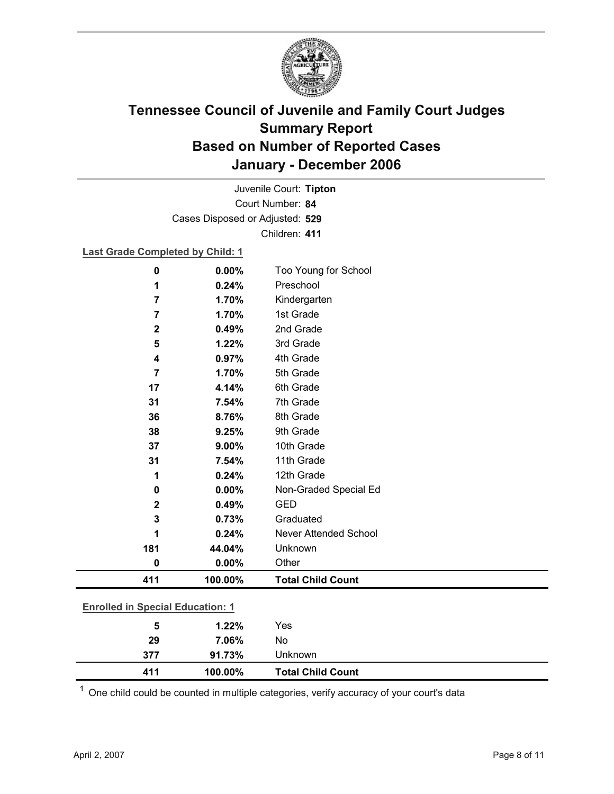

Court Number: **84** Juvenile Court: **Tipton** Cases Disposed or Adjusted: **529** Children: **411**

### **Last Grade Completed by Child: 1**

| 29                                      | 7.06%   | No                       |
|-----------------------------------------|---------|--------------------------|
| 5                                       | 1.22%   | Yes                      |
| <b>Enrolled in Special Education: 1</b> |         |                          |
| 411                                     | 100.00% | <b>Total Child Count</b> |
| 0                                       | 0.00%   | Other                    |
| 181                                     | 44.04%  | Unknown                  |
| 1                                       | 0.24%   | Never Attended School    |
| 3                                       | 0.73%   | Graduated                |
| $\mathbf 2$                             | 0.49%   | <b>GED</b>               |
| 0                                       | 0.00%   | Non-Graded Special Ed    |
| 1                                       | 0.24%   | 12th Grade               |
| 31                                      | 7.54%   | 11th Grade               |
| 37                                      | 9.00%   | 10th Grade               |
| 38                                      | 9.25%   | 9th Grade                |
| 36                                      | 8.76%   | 8th Grade                |
| 31                                      | 7.54%   | 7th Grade                |
| 17                                      | 4.14%   | 6th Grade                |
| $\overline{7}$                          | 1.70%   | 5th Grade                |
| 4                                       | 0.97%   | 4th Grade                |
| 5                                       | 1.22%   | 3rd Grade                |
| $\mathbf{2}$                            | 0.49%   | 2nd Grade                |
| $\overline{7}$                          | 1.70%   | 1st Grade                |
| 7                                       | 1.70%   | Kindergarten             |
| 1                                       | 0.24%   | Preschool                |
| 0                                       | 0.00%   | Too Young for School     |

 $1$  One child could be counted in multiple categories, verify accuracy of your court's data

**411 100.00% Total Child Count**

**377 91.73%** Unknown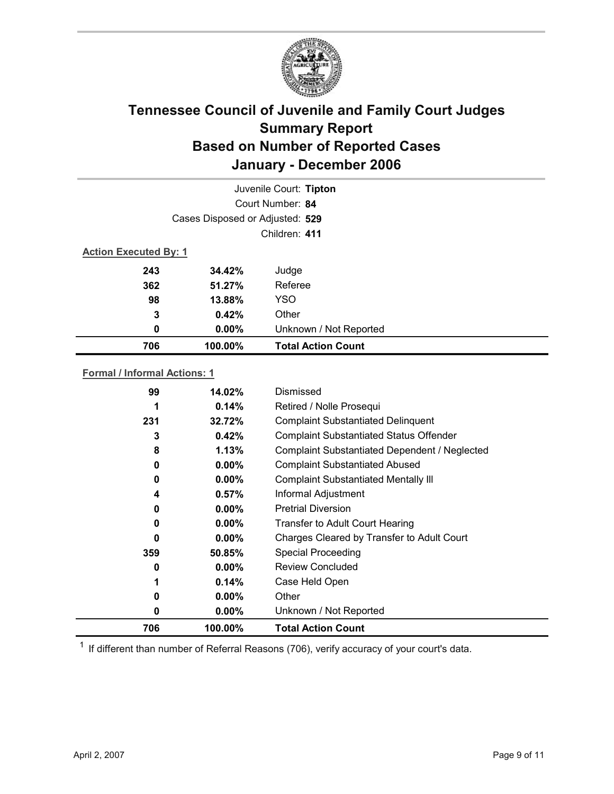

| Juvenile Court: Tipton       |                                 |                           |  |  |  |
|------------------------------|---------------------------------|---------------------------|--|--|--|
|                              | Court Number: 84                |                           |  |  |  |
|                              | Cases Disposed or Adjusted: 529 |                           |  |  |  |
|                              |                                 | Children: 411             |  |  |  |
| <b>Action Executed By: 1</b> |                                 |                           |  |  |  |
| 243                          | 34.42%                          | Judge                     |  |  |  |
| 362                          | 51.27%                          | Referee                   |  |  |  |
| 98                           | 13.88%                          | <b>YSO</b>                |  |  |  |
| 3                            | 0.42%                           | Other                     |  |  |  |
| 0                            | $0.00\%$                        | Unknown / Not Reported    |  |  |  |
| 706                          | 100.00%                         | <b>Total Action Count</b> |  |  |  |

### **Formal / Informal Actions: 1**

| 99  | 14.02%   | Dismissed                                      |
|-----|----------|------------------------------------------------|
| 1   | 0.14%    | Retired / Nolle Prosequi                       |
| 231 | 32.72%   | <b>Complaint Substantiated Delinquent</b>      |
| 3   | 0.42%    | <b>Complaint Substantiated Status Offender</b> |
| 8   | 1.13%    | Complaint Substantiated Dependent / Neglected  |
| 0   | $0.00\%$ | <b>Complaint Substantiated Abused</b>          |
| 0   | $0.00\%$ | <b>Complaint Substantiated Mentally III</b>    |
| 4   | 0.57%    | Informal Adjustment                            |
| 0   | $0.00\%$ | <b>Pretrial Diversion</b>                      |
| 0   | $0.00\%$ | <b>Transfer to Adult Court Hearing</b>         |
| 0   | $0.00\%$ | Charges Cleared by Transfer to Adult Court     |
| 359 | 50.85%   | <b>Special Proceeding</b>                      |
| 0   | $0.00\%$ | <b>Review Concluded</b>                        |
| 1   | 0.14%    | Case Held Open                                 |
| 0   | $0.00\%$ | Other                                          |
| 0   | $0.00\%$ | Unknown / Not Reported                         |
| 706 | 100.00%  | <b>Total Action Count</b>                      |

 $1$  If different than number of Referral Reasons (706), verify accuracy of your court's data.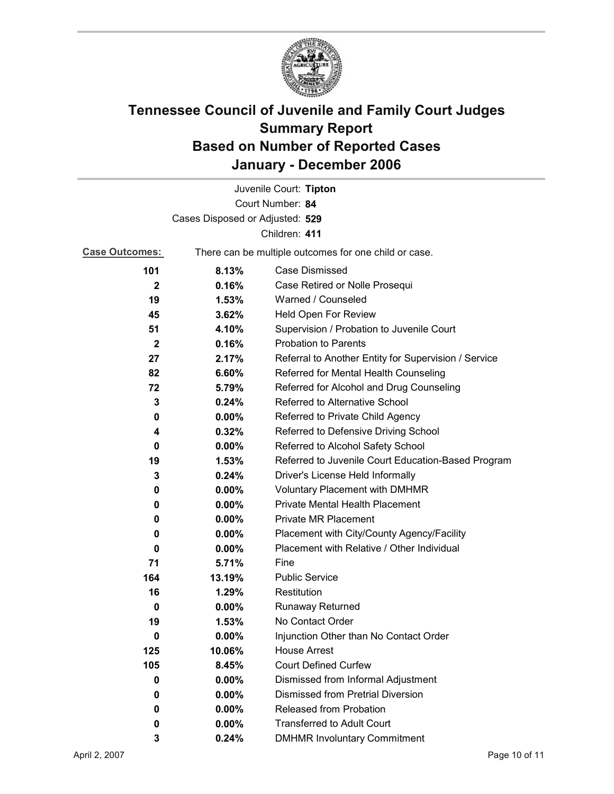

|                                 |                                                       | Juvenile Court: Tipton                               |  |  |
|---------------------------------|-------------------------------------------------------|------------------------------------------------------|--|--|
|                                 |                                                       | Court Number: 84                                     |  |  |
| Cases Disposed or Adjusted: 529 |                                                       |                                                      |  |  |
|                                 |                                                       | Children: 411                                        |  |  |
| <b>Case Outcomes:</b>           | There can be multiple outcomes for one child or case. |                                                      |  |  |
| 101                             | 8.13%                                                 | <b>Case Dismissed</b>                                |  |  |
| $\mathbf{2}$                    | 0.16%                                                 | Case Retired or Nolle Prosequi                       |  |  |
| 19                              | 1.53%                                                 | Warned / Counseled                                   |  |  |
| 45                              | 3.62%                                                 | Held Open For Review                                 |  |  |
| 51                              | 4.10%                                                 | Supervision / Probation to Juvenile Court            |  |  |
| $\mathbf{2}$                    | 0.16%                                                 | <b>Probation to Parents</b>                          |  |  |
| 27                              | 2.17%                                                 | Referral to Another Entity for Supervision / Service |  |  |
| 82                              | 6.60%                                                 | Referred for Mental Health Counseling                |  |  |
| 72                              | 5.79%                                                 | Referred for Alcohol and Drug Counseling             |  |  |
| 3                               | 0.24%                                                 | Referred to Alternative School                       |  |  |
| 0                               | $0.00\%$                                              | Referred to Private Child Agency                     |  |  |
| 4                               | 0.32%                                                 | Referred to Defensive Driving School                 |  |  |
| 0                               | $0.00\%$                                              | Referred to Alcohol Safety School                    |  |  |
| 19                              | 1.53%                                                 | Referred to Juvenile Court Education-Based Program   |  |  |
| 3                               | 0.24%                                                 | Driver's License Held Informally                     |  |  |
| 0                               | $0.00\%$                                              | <b>Voluntary Placement with DMHMR</b>                |  |  |
| 0                               | 0.00%                                                 | Private Mental Health Placement                      |  |  |
| 0                               | $0.00\%$                                              | <b>Private MR Placement</b>                          |  |  |
| 0                               | $0.00\%$                                              | Placement with City/County Agency/Facility           |  |  |
| 0                               | $0.00\%$                                              | Placement with Relative / Other Individual           |  |  |
| 71                              | 5.71%                                                 | Fine                                                 |  |  |
| 164                             | 13.19%                                                | <b>Public Service</b>                                |  |  |
| 16                              | 1.29%                                                 | Restitution                                          |  |  |
| 0                               | 0.00%                                                 | <b>Runaway Returned</b>                              |  |  |
| 19                              | 1.53%                                                 | No Contact Order                                     |  |  |
| 0                               | 0.00%                                                 | Injunction Other than No Contact Order               |  |  |
| 125                             | 10.06%                                                | <b>House Arrest</b>                                  |  |  |
| 105                             | 8.45%                                                 | <b>Court Defined Curfew</b>                          |  |  |
| 0                               | $0.00\%$                                              | Dismissed from Informal Adjustment                   |  |  |
| 0                               | $0.00\%$                                              | <b>Dismissed from Pretrial Diversion</b>             |  |  |
| 0                               | $0.00\%$                                              | <b>Released from Probation</b>                       |  |  |
| 0                               | 0.00%                                                 | <b>Transferred to Adult Court</b>                    |  |  |
| 3                               | 0.24%                                                 | <b>DMHMR Involuntary Commitment</b>                  |  |  |